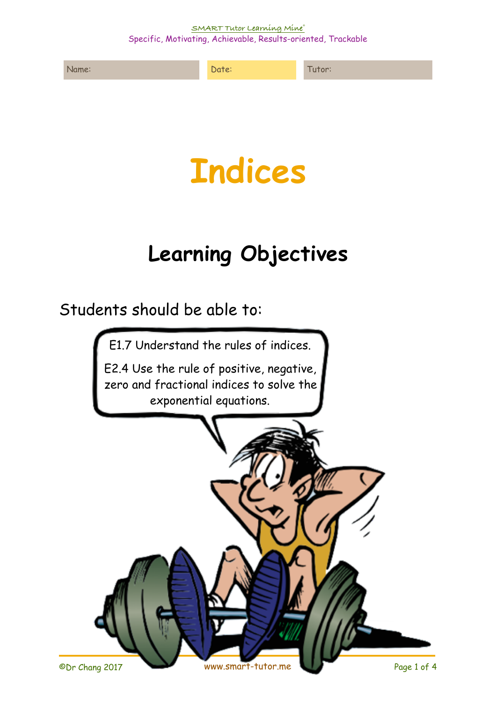**SMART Tutor Learning Mine®**  Specific, Motivating, Achievable, Results-oriented, Trackable





## **Learning Objectives**

Students should be able to:

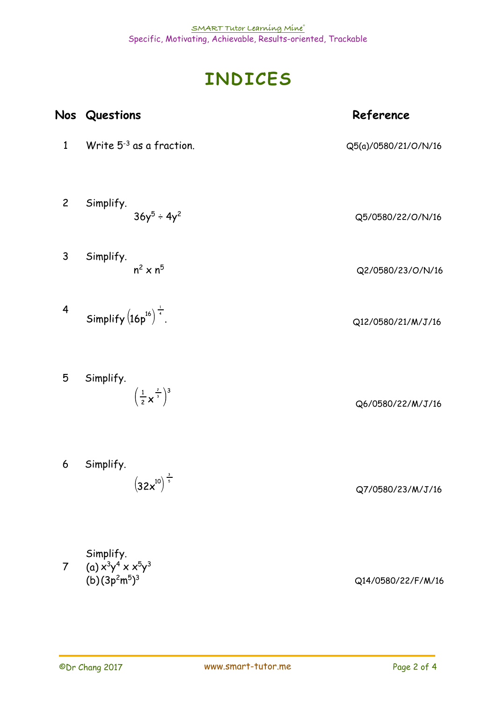## **INDICES**

|                         | Nos Questions                                            | Reference            |
|-------------------------|----------------------------------------------------------|----------------------|
| $\mathbf{1}$            | Write $5^{-3}$ as a fraction.                            | Q5(a)/0580/21/O/N/16 |
| $\overline{c}$          | Simplify.<br>$36y^5 \div 4y^2$                           | Q5/0580/22/O/N/16    |
| 3                       | Simplify.<br>$n^2 \times n^5$                            | Q2/0580/23/O/N/16    |
| $\overline{\mathbf{r}}$ | Simplify $(16p^{16})^{\frac{1}{4}}$ .                    | Q12/0580/21/M/J/16   |
| 5                       | Simplify.<br>$\left(\frac{1}{2}x^{\frac{2}{3}}\right)^3$ | Q6/0580/22/M/J/16    |
| 6                       | Simplify.<br>$(32x^{10})^{\frac{3}{5}}$                  | Q7/0580/23/M/J/16    |

7 Simplify. (a)  $x^3y^4 \times x^5y^3$ (b)(3p<sup>2</sup>m<sup>5</sup>)

Q14/0580/22/F/M/16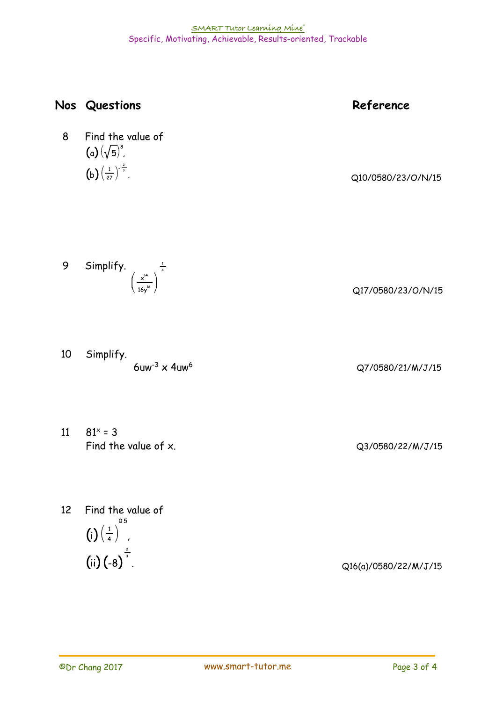|                 | Nos Questions                                                                                              | Reference             |
|-----------------|------------------------------------------------------------------------------------------------------------|-----------------------|
| 8               | Find the value of<br>(a) $(\sqrt{5})^8$ ,<br>(b) $\left(\frac{1}{27}\right)^{-\frac{2}{3}}$ .              | Q10/0580/23/O/N/15    |
| 9               | Simplify. $\left(\frac{x^{64}}{16y^{16}}\right)^{\frac{1}{4}}$                                             | Q17/0580/23/O/N/15    |
| 10              | Simplify.<br>$6uw^{-3} \times 4uw^{6}$                                                                     | Q7/0580/21/M/J/15     |
| 11              | $81^x = 3$<br>Find the value of x.                                                                         | Q3/0580/22/M/J/15     |
| 12 <sup>2</sup> | Find the value of<br>0.5<br>(i) $\left(\frac{1}{4}\right)^{0.5}$<br>(ii) $\left(-8\right)^{\frac{2}{3}}$ . | Q16(a)/0580/22/M/J/15 |